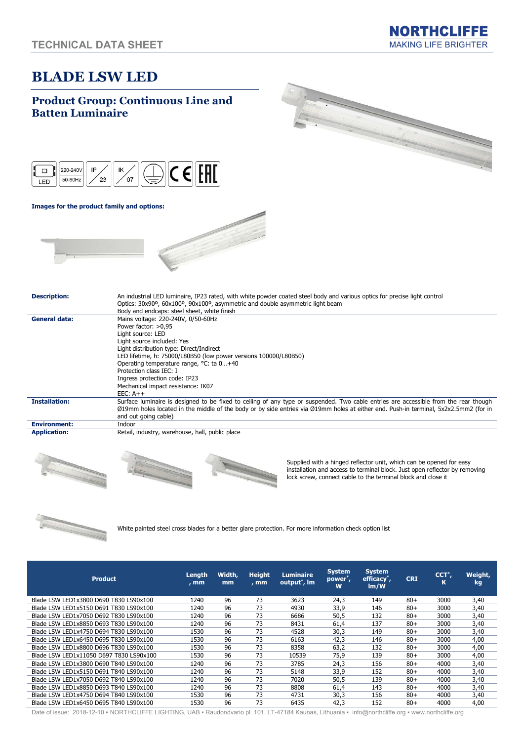# BLADE LSW LED

### Product Group: Continuous Line and Batten Luminaire





#### Images for the product family and options:



| <b>Description:</b>  | An industrial LED luminaire, IP23 rated, with white powder coated steel body and various optics for precise light control<br>Optics: 30x90 <sup>o</sup> , 60x100 <sup>o</sup> , 90x100 <sup>o</sup> , asymmetric and double asymmetric light beam<br>Body and endcaps: steel sheet, white finish                                                                           |
|----------------------|----------------------------------------------------------------------------------------------------------------------------------------------------------------------------------------------------------------------------------------------------------------------------------------------------------------------------------------------------------------------------|
| General data:        | Mains voltage: 220-240V, 0/50-60Hz<br>Power factor: >0.95<br>Light source: LED<br>Light source included: Yes<br>Light distribution type: Direct/Indirect<br>LED lifetime, h: 75000/L80B50 (low power versions 100000/L80B50)<br>Operating temperature range, °C: ta 0+40<br>Protection class IEC: I<br>Ingress protection code: IP23<br>Mechanical impact resistance: IK07 |
| <b>Installation:</b> | $EEC: A++$<br>Surface luminaire is designed to be fixed to ceiling of any type or suspended. Two cable entries are accessible from the rear though<br>Ø19mm holes located in the middle of the body or by side entries via Ø19mm holes at either end. Push-in terminal, 5x2x2.5mm2 (for in<br>and out going cable)                                                         |
| <b>Environment:</b>  | Indoor                                                                                                                                                                                                                                                                                                                                                                     |
| <b>Application:</b>  | Retail, industry, warehouse, hall, public place                                                                                                                                                                                                                                                                                                                            |





Supplied with a hinged reflector unit, which can be opened for easy installation and access to terminal block. Just open reflector by removing lock screw, connect cable to the terminal block and close it



White painted steel cross blades for a better glare protection. For more information check option list

| <b>Product</b>                          | Length<br>, mm | Width,<br>mm | <b>Height</b><br>, mm | <b>Luminaire</b><br>output <sup>*</sup> , Im | <b>System</b><br>power <sup>*</sup> ,<br>W | <b>System</b><br>efficacy <sup>*</sup> ,<br>Im/W | <b>CRI</b> | $CCT^*$ ,<br>К | Weight,<br>kg |
|-----------------------------------------|----------------|--------------|-----------------------|----------------------------------------------|--------------------------------------------|--------------------------------------------------|------------|----------------|---------------|
| Blade LSW LED1x3800 D690 T830 LS90x100  | 1240           | 96           | 73                    | 3623                                         | 24,3                                       | 149                                              | $80+$      | 3000           | 3,40          |
| Blade LSW LED1x5150 D691 T830 LS90x100  | 1240           | 96           | 73                    | 4930                                         | 33,9                                       | 146                                              | $80+$      | 3000           | 3,40          |
| Blade LSW LED1x7050 D692 T830 LS90x100  | 1240           | 96           | 73                    | 6686                                         | 50,5                                       | 132                                              | $80+$      | 3000           | 3,40          |
| Blade LSW LED1x8850 D693 T830 LS90x100  | 1240           | 96           | 73                    | 8431                                         | 61.4                                       | 137                                              | $80+$      | 3000           | 3,40          |
| Blade LSW LED1x4750 D694 T830 LS90x100  | 1530           | 96           | 73                    | 4528                                         | 30.3                                       | 149                                              | $80+$      | 3000           | 3,40          |
| Blade LSW LED1x6450 D695 T830 LS90x100  | 1530           | 96           | 73                    | 6163                                         | 42,3                                       | 146                                              | $80+$      | 3000           | 4,00          |
| Blade LSW LED1x8800 D696 T830 LS90x100  | 1530           | 96           | 73                    | 8358                                         | 63.2                                       | 132                                              | $80+$      | 3000           | 4,00          |
| Blade LSW LED1x11050 D697 T830 LS90x100 | 1530           | 96           | 73                    | 10539                                        | 75.9                                       | 139                                              | $80+$      | 3000           | 4,00          |
| Blade LSW LED1x3800 D690 T840 LS90x100  | 1240           | 96           | 73                    | 3785                                         | 24,3                                       | 156                                              | $80+$      | 4000           | 3,40          |
| Blade LSW LED1x5150 D691 T840 LS90x100  | 1240           | 96           | 73                    | 5148                                         | 33,9                                       | 152                                              | $80+$      | 4000           | 3,40          |
| Blade LSW LED1x7050 D692 T840 LS90x100  | 1240           | 96           | 73                    | 7020                                         | 50,5                                       | 139                                              | $80+$      | 4000           | 3,40          |
| Blade LSW LED1x8850 D693 T840 LS90x100  | 1240           | 96           | 73                    | 8808                                         | 61.4                                       | 143                                              | $80+$      | 4000           | 3,40          |
| Blade LSW LED1x4750 D694 T840 LS90x100  | 1530           | 96           | 73                    | 4731                                         | 30,3                                       | 156                                              | $80+$      | 4000           | 3,40          |
| Blade LSW LED1x6450 D695 T840 LS90x100  | 1530           | 96           | 73                    | 6435                                         | 42,3                                       | 152                                              | $80+$      | 4000           | 4,00          |

Date of issue: 2018-12-10 · NORTHCLIFFE LIGHTING, UAB · Raudondvario pl. 101, LT-47184 Kaunas, Lithuania · info@northcliffe.org · www.northcliffe.org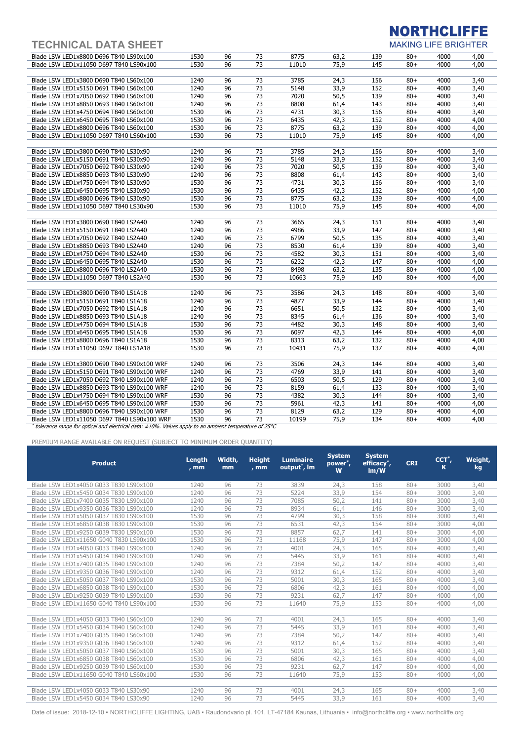## TECHNICAL DATA SHEET

# **NORTHCLIFFE**

**MAKING LIFE BRIGHTER** 

| Blade LSW LED1x8800 D696 T840 LS90x100      | 1530 | 96 | 73              | 8775  | 63,2 | 139 | $80+$  | 4000 | 4,00 |
|---------------------------------------------|------|----|-----------------|-------|------|-----|--------|------|------|
| Blade LSW LED1x11050 D697 T840 LS90x100     | 1530 | 96 | 73              | 11010 | 75.9 | 145 | $80+$  | 4000 | 4,00 |
|                                             |      |    |                 |       |      |     |        |      |      |
| Blade LSW LED1x3800 D690 T840 LS60x100      | 1240 | 96 | 73              | 3785  | 24,3 | 156 | $80+$  | 4000 | 3,40 |
| Blade LSW LED1x5150 D691 T840 LS60x100      | 1240 | 96 | 73              | 5148  | 33,9 | 152 | $80+$  | 4000 | 3,40 |
| Blade LSW LED1x7050 D692 T840 LS60x100      | 1240 | 96 | 73              | 7020  | 50,5 | 139 | $80 +$ | 4000 | 3,40 |
| Blade LSW LED1x8850 D693 T840 LS60x100      | 1240 | 96 | 73              | 8808  | 61,4 | 143 | $80 +$ | 4000 | 3,40 |
| Blade LSW LED1x4750 D694 T840 LS60x100      | 1530 | 96 | $\overline{73}$ | 4731  | 30,3 | 156 | $80 +$ | 4000 | 3,40 |
| Blade LSW LED1x6450 D695 T840 LS60x100      | 1530 | 96 | 73              | 6435  | 42,3 | 152 | $80 +$ | 4000 | 4,00 |
| Blade LSW LED1x8800 D696 T840 LS60x100      | 1530 | 96 | 73              | 8775  | 63,2 | 139 | $80 +$ | 4000 | 4,00 |
| Blade LSW LED1x11050 D697 T840 LS60x100     | 1530 | 96 | 73              | 11010 | 75,9 | 145 | $80+$  | 4000 | 4,00 |
|                                             |      |    |                 |       |      |     |        |      |      |
| Blade LSW LED1x3800 D690 T840 LS30x90       | 1240 | 96 | 73              | 3785  | 24,3 | 156 | $80+$  | 4000 | 3,40 |
| Blade LSW LED1x5150 D691 T840 LS30x90       | 1240 | 96 | 73              | 5148  | 33.9 | 152 | $80 +$ | 4000 | 3.40 |
| Blade LSW LED1x7050 D692 T840 LS30x90       | 1240 | 96 | $\overline{73}$ | 7020  | 50,5 | 139 | $80 +$ | 4000 | 3,40 |
| Blade LSW LED1x8850 D693 T840 LS30x90       | 1240 | 96 | 73              | 8808  | 61,4 | 143 | $80+$  | 4000 | 3,40 |
| Blade LSW LED1x4750 D694 T840 LS30x90       | 1530 | 96 | 73              | 4731  | 30,3 | 156 | $80 +$ | 4000 | 3,40 |
| Blade LSW LED1x6450 D695 T840 LS30x90       | 1530 | 96 | 73              | 6435  | 42,3 | 152 | $80+$  | 4000 | 4,00 |
| Blade LSW LED1x8800 D696 T840 LS30x90       | 1530 | 96 | $\overline{73}$ | 8775  | 63,2 | 139 | $80 +$ | 4000 | 4,00 |
| Blade LSW LED1x11050 D697 T840 LS30x90      | 1530 | 96 | 73              | 11010 | 75,9 | 145 | $80 +$ | 4000 | 4,00 |
|                                             |      |    |                 |       |      |     |        |      |      |
| Blade LSW LED1x3800 D690 T840 LS2A40        | 1240 | 96 | 73              | 3665  | 24,3 | 151 | $80+$  | 4000 | 3,40 |
| Blade LSW LED1x5150 D691 T840 LS2A40        | 1240 | 96 | 73              | 4986  | 33,9 | 147 | $80 +$ | 4000 | 3,40 |
| Blade LSW LED1x7050 D692 T840 LS2A40        | 1240 | 96 | $\overline{73}$ | 6799  | 50,5 | 135 | $80 +$ | 4000 | 3,40 |
| Blade LSW LED1x8850 D693 T840 LS2A40        | 1240 | 96 | 73              | 8530  | 61,4 | 139 | $80+$  | 4000 | 3,40 |
| Blade LSW LED1x4750 D694 T840 LS2A40        | 1530 | 96 | 73              | 4582  | 30,3 | 151 | $80 +$ | 4000 | 3,40 |
| Blade LSW LED1x6450 D695 T840 LS2A40        | 1530 | 96 | 73              | 6232  | 42,3 | 147 | $80 +$ | 4000 | 4,00 |
| Blade LSW LED1x8800 D696 T840 LS2A40        | 1530 | 96 | 73              | 8498  | 63,2 | 135 | $80+$  | 4000 | 4,00 |
| Blade LSW LED1x11050 D697 T840 LS2A40       | 1530 | 96 | 73              | 10663 | 75,9 | 140 | $80+$  | 4000 | 4,00 |
|                                             |      |    |                 |       |      |     |        |      |      |
| Blade LSW LED1x3800 D690 T840 LS1A18        | 1240 | 96 | 73              | 3586  | 24,3 | 148 | $80+$  | 4000 | 3,40 |
| Blade LSW LED1x5150 D691 T840 LS1A18        | 1240 | 96 | 73              | 4877  | 33,9 | 144 | $80+$  | 4000 | 3,40 |
| Blade LSW LED1x7050 D692 T840 LS1A18        | 1240 | 96 | $\overline{73}$ | 6651  | 50,5 | 132 | $80+$  | 4000 | 3,40 |
| Blade LSW LED1x8850 D693 T840 LS1A18        | 1240 | 96 | 73              | 8345  | 61,4 | 136 | $80+$  | 4000 | 3,40 |
| Blade LSW LED1x4750 D694 T840 LS1A18        | 1530 | 96 | 73              | 4482  | 30,3 | 148 | $80+$  | 4000 | 3,40 |
| Blade LSW LED1x6450 D695 T840 LS1A18        | 1530 | 96 | $\overline{73}$ | 6097  | 42,3 | 144 | $80+$  | 4000 | 4,00 |
| Blade LSW LED1x8800 D696 T840 LS1A18        | 1530 | 96 | 73              | 8313  | 63,2 | 132 | $80+$  | 4000 | 4,00 |
| Blade LSW LED1x11050 D697 T840 LS1A18       | 1530 | 96 | 73              | 10431 | 75,9 | 137 | $80+$  | 4000 | 4,00 |
|                                             |      |    |                 |       |      |     |        |      |      |
| Blade LSW LED1x3800 D690 T840 LS90x100 WRF  | 1240 | 96 | 73              | 3506  | 24,3 | 144 | $80+$  | 4000 | 3,40 |
| Blade LSW LED1x5150 D691 T840 LS90x100 WRF  | 1240 | 96 | 73              | 4769  | 33,9 | 141 | $80+$  | 4000 | 3,40 |
| Blade LSW LED1x7050 D692 T840 LS90x100 WRF  | 1240 | 96 | 73              | 6503  | 50,5 | 129 | $80 +$ | 4000 | 3,40 |
| Blade LSW LED1x8850 D693 T840 LS90x100 WRF  | 1240 | 96 | $\overline{73}$ | 8159  | 61,4 | 133 | $80 +$ | 4000 | 3,40 |
| Blade LSW LED1x4750 D694 T840 LS90x100 WRF  | 1530 | 96 | 73              | 4382  | 30,3 | 144 | $80+$  | 4000 | 3,40 |
| Blade LSW LED1x6450 D695 T840 LS90x100 WRF  | 1530 | 96 | 73              | 5961  | 42,3 | 141 | $80 +$ | 4000 | 4,00 |
| Blade LSW LED1x8800 D696 T840 LS90x100 WRF  | 1530 | 96 | 73              | 8129  | 63,2 | 129 | $80 +$ | 4000 | 4,00 |
| Blade LSW LED1x11050 D697 T840 LS90x100 WRF | 1530 | 96 | 73              | 10199 | 75,9 | 134 | $80+$  | 4000 | 4,00 |
|                                             |      |    |                 |       |      |     |        |      |      |

\* tolerance range for optical and electrical data: ±10%. Values apply to an ambient temperature of 25°C

PREMIUM RANGE AVAILABLE ON REQUEST (SUBJECT TO MINIMUM ORDER QUANTITY)

| <b>Product</b>                          | Length<br>$, \,mm$ | Width,<br>mm | <b>Height</b><br>$, \,mm$ | <b>Luminaire</b><br>output <sup>*</sup> , Im | <b>System</b><br>power <sup>*</sup> ,<br>W | <b>System</b><br>efficacy <sup>*</sup> ,<br>Im/W | <b>CRI</b> | CCT <sup>*</sup> ,<br>κ | Weight,<br>kg |
|-----------------------------------------|--------------------|--------------|---------------------------|----------------------------------------------|--------------------------------------------|--------------------------------------------------|------------|-------------------------|---------------|
| Blade LSW LED1x4050 G033 T830 LS90x100  | 1240               | 96           | 73                        | 3839                                         | 24,3                                       | 158                                              | $80+$      | 3000                    | 3,40          |
| Blade LSW LED1x5450 G034 T830 LS90x100  | 1240               | 96           | 73                        | 5224                                         | 33,9                                       | 154                                              | $80+$      | 3000                    | 3,40          |
| Blade LSW LED1x7400 G035 T830 LS90x100  | 1240               | 96           | 73                        | 7085                                         | 50,2                                       | 141                                              | $80+$      | 3000                    | 3,40          |
| Blade LSW LED1x9350 G036 T830 LS90x100  | 1240               | 96           | 73                        | 8934                                         | 61,4                                       | 146                                              | $80+$      | 3000                    | 3,40          |
| Blade LSW LED1x5050 G037 T830 LS90x100  | 1530               | 96           | 73                        | 4799                                         | 30.3                                       | 158                                              | $80+$      | 3000                    | 3,40          |
| Blade LSW LED1x6850 G038 T830 LS90x100  | 1530               | 96           | 73                        | 6531                                         | 42,3                                       | 154                                              | $80+$      | 3000                    | 4,00          |
| Blade LSW LED1x9250 G039 T830 LS90x100  | 1530               | 96           | 73                        | 8857                                         | 62,7                                       | 141                                              | $80+$      | 3000                    | 4,00          |
| Blade LSW LED1x11650 G040 T830 LS90x100 | 1530               | 96           | 73                        | 11168                                        | 75,9                                       | 147                                              | $80+$      | 3000                    | 4,00          |
| Blade LSW LED1x4050 G033 T840 LS90x100  | 1240               | 96           | 73                        | 4001                                         | 24.3                                       | 165                                              | $80+$      | 4000                    | 3,40          |
| Blade LSW LED1x5450 G034 T840 LS90x100  | 1240               | 96           | 73                        | 5445                                         | 33,9                                       | 161                                              | $80+$      | 4000                    | 3,40          |
| Blade LSW LED1x7400 G035 T840 LS90x100  | 1240               | 96           | 73                        | 7384                                         | 50,2                                       | 147                                              | $80+$      | 4000                    | 3,40          |
| Blade LSW LED1x9350 G036 T840 LS90x100  | 1240               | 96           | 73                        | 9312                                         | 61,4                                       | 152                                              | $80+$      | 4000                    | 3,40          |
| Blade LSW LED1x5050 G037 T840 LS90x100  | 1530               | 96           | 73                        | 5001                                         | 30,3                                       | 165                                              | $80+$      | 4000                    | 3,40          |
| Blade LSW LED1x6850 G038 T840 LS90x100  | 1530               | 96           | 73                        | 6806                                         | 42,3                                       | 161                                              | $80+$      | 4000                    | 4,00          |
| Blade LSW LED1x9250 G039 T840 LS90x100  | 1530               | 96           | 73                        | 9231                                         | 62.7                                       | 147                                              | $80+$      | 4000                    | 4,00          |
| Blade LSW LED1x11650 G040 T840 LS90x100 | 1530               | 96           | 73                        | 11640                                        | 75,9                                       | 153                                              | $80+$      | 4000                    | 4,00          |
|                                         |                    |              |                           |                                              |                                            |                                                  |            |                         |               |
| Blade LSW LED1x4050 G033 T840 LS60x100  | 1240               | 96           | 73                        | 4001                                         | 24,3                                       | 165                                              | $80+$      | 4000                    | 3,40          |
| Blade LSW LED1x5450 G034 T840 LS60x100  | 1240               | 96           | 73                        | 5445                                         | 33,9                                       | 161                                              | $80+$      | 4000                    | 3,40          |
| Blade LSW LED1x7400 G035 T840 LS60x100  | 1240               | 96           | 73                        | 7384                                         | 50.2                                       | 147                                              | $80+$      | 4000                    | 3,40          |
| Blade LSW LED1x9350 G036 T840 LS60x100  | 1240               | 96           | 73                        | 9312                                         | 61,4                                       | 152                                              | $80+$      | 4000                    | 3,40          |
| Blade LSW LED1x5050 G037 T840 LS60x100  | 1530               | 96           | 73                        | 5001                                         | 30.3                                       | 165                                              | $80+$      | 4000                    | 3,40          |
| Blade LSW LED1x6850 G038 T840 LS60x100  | 1530               | 96           | 73                        | 6806                                         | 42.3                                       | 161                                              | $80+$      | 4000                    | 4,00          |
| Blade LSW LED1x9250 G039 T840 LS60x100  | 1530               | 96           | 73                        | 9231                                         | 62,7                                       | 147                                              | $80+$      | 4000                    | 4,00          |
| Blade LSW LED1x11650 G040 T840 LS60x100 | 1530               | 96           | 73                        | 11640                                        | 75,9                                       | 153                                              | $80+$      | 4000                    | 4,00          |
|                                         |                    |              |                           |                                              |                                            |                                                  |            |                         |               |
| Blade LSW LED1x4050 G033 T840 LS30x90   | 1240               | 96           | 73                        | 4001                                         | 24,3                                       | 165                                              | $80+$      | 4000                    | 3,40          |
| Blade LSW LED1x5450 G034 T840 LS30x90   | 1240               | 96           | 73                        | 5445                                         | 33,9                                       | 161                                              | $80+$      | 4000                    | 3,40          |

Date of issue: 2018-12-10 · NORTHCLIFFE LIGHTING, UAB · Raudondvario pl. 101, LT-47184 Kaunas, Lithuania · info@northcliffe.org · www.northcliffe.org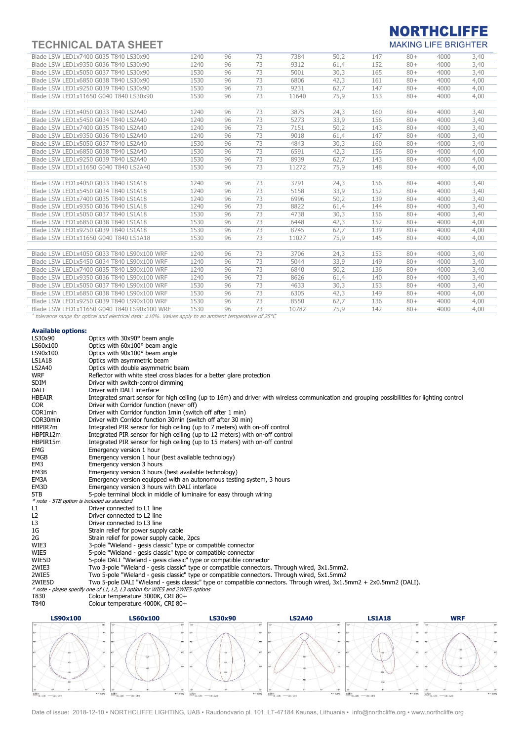# TECHNICAL DATA SHEET

### **NORTHCLIFFE MAKING LIFE BRIGHTER**

| Blade LSW LED1x7400 G035 T840 LS30x90                                                                        | 1240 | 96 | 73 | 7384  | 50,2 | 147 | $80+$ | 4000 | 3,40 |
|--------------------------------------------------------------------------------------------------------------|------|----|----|-------|------|-----|-------|------|------|
| Blade LSW LED1x9350 G036 T840 LS30x90                                                                        | 1240 | 96 | 73 | 9312  | 61.4 | 152 | $80+$ | 4000 | 3,40 |
| Blade LSW LED1x5050 G037 T840 LS30x90                                                                        | 1530 | 96 | 73 | 5001  | 30,3 | 165 | $80+$ | 4000 | 3,40 |
| Blade LSW LED1x6850 G038 T840 LS30x90                                                                        | 1530 | 96 | 73 | 6806  | 42,3 | 161 | $80+$ | 4000 | 4,00 |
| Blade LSW LED1x9250 G039 T840 LS30x90                                                                        | 1530 | 96 | 73 | 9231  | 62.7 | 147 | $80+$ | 4000 | 4,00 |
| Blade LSW LED1x11650 G040 T840 LS30x90                                                                       | 1530 | 96 | 73 | 11640 | 75.9 | 153 | $80+$ | 4000 | 4,00 |
|                                                                                                              |      |    |    |       |      |     |       |      |      |
| Blade LSW LED1x4050 G033 T840 LS2A40                                                                         | 1240 | 96 | 73 | 3875  | 24.3 | 160 | $80+$ | 4000 | 3,40 |
| Blade LSW LED1x5450 G034 T840 LS2A40                                                                         | 1240 | 96 | 73 | 5273  | 33,9 | 156 | $80+$ | 4000 | 3,40 |
| Blade LSW LED1x7400 G035 T840 LS2A40                                                                         | 1240 | 96 | 73 | 7151  | 50,2 | 143 | $80+$ | 4000 | 3,40 |
| Blade LSW LED1x9350 G036 T840 LS2A40                                                                         | 1240 | 96 | 73 | 9018  | 61.4 | 147 | $80+$ | 4000 | 3,40 |
| Blade LSW LED1x5050 G037 T840 LS2A40                                                                         | 1530 | 96 | 73 | 4843  | 30,3 | 160 | $80+$ | 4000 | 3,40 |
| Blade LSW LED1x6850 G038 T840 LS2A40                                                                         | 1530 | 96 | 73 | 6591  | 42,3 | 156 | $80+$ | 4000 | 4,00 |
| Blade LSW LED1x9250 G039 T840 LS2A40                                                                         | 1530 | 96 | 73 | 8939  | 62.7 | 143 | $80+$ | 4000 | 4,00 |
| Blade LSW LED1x11650 G040 T840 LS2A40                                                                        | 1530 | 96 | 73 | 11272 | 75,9 | 148 | $80+$ | 4000 | 4,00 |
|                                                                                                              |      |    |    |       |      |     |       |      |      |
| Blade LSW LED1x4050 G033 T840 LS1A18                                                                         | 1240 | 96 | 73 | 3791  | 24.3 | 156 | $80+$ | 4000 | 3,40 |
| Blade LSW LED1x5450 G034 T840 LS1A18                                                                         | 1240 | 96 | 73 | 5158  | 33,9 | 152 | $80+$ | 4000 | 3,40 |
| Blade LSW LED1x7400 G035 T840 LS1A18                                                                         | 1240 | 96 | 73 | 6996  | 50,2 | 139 | $80+$ | 4000 | 3,40 |
| Blade LSW LED1x9350 G036 T840 LS1A18                                                                         | 1240 | 96 | 73 | 8822  | 61.4 | 144 | $80+$ | 4000 | 3,40 |
| Blade LSW LED1x5050 G037 T840 LS1A18                                                                         | 1530 | 96 | 73 | 4738  | 30,3 | 156 | $80+$ | 4000 | 3,40 |
| Blade LSW LED1x6850 G038 T840 LS1A18                                                                         | 1530 | 96 | 73 | 6448  | 42,3 | 152 | $80+$ | 4000 | 4,00 |
| Blade LSW LED1x9250 G039 T840 LS1A18                                                                         | 1530 | 96 | 73 | 8745  | 62.7 | 139 | $80+$ | 4000 | 4,00 |
| Blade LSW LED1x11650 G040 T840 LS1A18                                                                        | 1530 | 96 | 73 | 11027 | 75,9 | 145 | $80+$ | 4000 | 4,00 |
|                                                                                                              |      |    |    |       |      |     |       |      |      |
| Blade LSW LED1x4050 G033 T840 LS90x100 WRF                                                                   | 1240 | 96 | 73 | 3706  | 24.3 | 153 | $80+$ | 4000 | 3,40 |
| Blade LSW LED1x5450 G034 T840 LS90x100 WRF                                                                   | 1240 | 96 | 73 | 5044  | 33,9 | 149 | $80+$ | 4000 | 3,40 |
| Blade LSW LED1x7400 G035 T840 LS90x100 WRF                                                                   | 1240 | 96 | 73 | 6840  | 50,2 | 136 | $80+$ | 4000 | 3,40 |
| Blade LSW LED1x9350 G036 T840 LS90x100 WRF                                                                   | 1240 | 96 | 73 | 8626  | 61.4 | 140 | $80+$ | 4000 | 3,40 |
| Blade LSW LED1x5050 G037 T840 LS90x100 WRF                                                                   | 1530 | 96 | 73 | 4633  | 30,3 | 153 | $80+$ | 4000 | 3,40 |
| Blade LSW LED1x6850 G038 T840 LS90x100 WRF                                                                   | 1530 | 96 | 73 | 6305  | 42,3 | 149 | $80+$ | 4000 | 4,00 |
| Blade LSW LED1x9250 G039 T840 LS90x100 WRF                                                                   | 1530 | 96 | 73 | 8550  | 62,7 | 136 | $80+$ | 4000 | 4,00 |
| Blade LSW LED1x11650 G040 T840 LS90x100 WRF                                                                  | 1530 | 96 | 73 | 10782 | 75,9 | 142 | $80+$ | 4000 | 4,00 |
| tolerance range for optical and electrical data: $\pm 10\%$ . Values apply to an ambient temperature of 25°C |      |    |    |       |      |     |       |      |      |

#### Available options:

| Available Optiblis.                         |                                                                                                                                             |
|---------------------------------------------|---------------------------------------------------------------------------------------------------------------------------------------------|
| LS30x90                                     | Optics with 30x90° beam angle                                                                                                               |
| LS60x100                                    | Optics with 60x100° beam angle                                                                                                              |
| LS90x100                                    | Optics with 90x100° beam angle                                                                                                              |
| <b>LS1A18</b>                               | Optics with asymmetric beam                                                                                                                 |
| <b>LS2A40</b>                               | Optics with double asymmetric beam                                                                                                          |
| <b>WRF</b>                                  | Reflector with white steel cross blades for a better glare protection                                                                       |
| <b>SDIM</b>                                 | Driver with switch-control dimming                                                                                                          |
| DALI                                        | Driver with DALI interface                                                                                                                  |
| <b>HBEAIR</b>                               | Integrated smart sensor for high ceiling (up to 16m) and driver with wireless communication and grouping possibilities for lighting control |
| <b>COR</b>                                  | Driver with Corridor function (never off)                                                                                                   |
| COR1min                                     | Driver with Corridor function 1min (switch off after 1 min)                                                                                 |
| COR30min                                    | Driver with Corridor function 30min (switch off after 30 min)                                                                               |
| HBPIR7m                                     | Integrated PIR sensor for high ceiling (up to 7 meters) with on-off control                                                                 |
| HBPIR12m                                    | Integrated PIR sensor for high ceiling (up to 12 meters) with on-off control                                                                |
| HBPIR15m                                    | Integrated PIR sensor for high ceiling (up to 15 meters) with on-off control                                                                |
| EMG                                         | Emergency version 1 hour                                                                                                                    |
| <b>EMGB</b>                                 | Emergency version 1 hour (best available technology)                                                                                        |
| EM3                                         | Emergency version 3 hours                                                                                                                   |
| EM3B                                        | Emergency version 3 hours (best available technology)                                                                                       |
| EM3A                                        | Emergency version equipped with an autonomous testing system, 3 hours                                                                       |
| EM3D                                        | Emergency version 3 hours with DALI interface                                                                                               |
| 5TB                                         | 5-pole terminal block in middle of luminaire for easy through wiring                                                                        |
| * note - 5TB option is included as standard |                                                                                                                                             |
| L1                                          | Driver connected to L1 line                                                                                                                 |
| L <sub>2</sub>                              | Driver connected to L2 line                                                                                                                 |
| L3                                          | Driver connected to L3 line                                                                                                                 |
| 1G                                          | Strain relief for power supply cable                                                                                                        |
| 2G                                          | Strain relief for power supply cable, 2pcs                                                                                                  |
| WIE3                                        | 3-pole "Wieland - gesis classic" type or compatible connector                                                                               |
| WIE5                                        | 5-pole "Wieland - gesis classic" type or compatible connector                                                                               |
| WIE5D                                       | 5-pole DALI "Wieland - gesis classic" type or compatible connector                                                                          |
| 2WIE3                                       | Two 3-pole "Wieland - gesis classic" type or compatible connectors. Through wired, 3x1.5mm2.                                                |
| 2WIE5                                       | Two 5-pole "Wieland - gesis classic" type or compatible connectors. Through wired, 5x1.5mm2                                                 |
| 2WIE5D                                      | Two 5-pole DALI "Wieland - gesis classic" type or compatible connectors. Through wired, 3x1.5mm2 + 2x0.5mm2 (DALI).                         |
|                                             | * note - please specify one of L1, L2, L3 option for WIE5 and 2WIE5 options                                                                 |
| T830                                        | Colour temperature 3000K, CRI 80+                                                                                                           |
| T840                                        | Colour temperature 4000K, CRI 80+                                                                                                           |
|                                             |                                                                                                                                             |



Date of issue: 2018-12-10 · NORTHCLIFFE LIGHTING, UAB · Raudondvario pl. 101, LT-47184 Kaunas, Lithuania · info@northcliffe.org · www.northcliffe.org